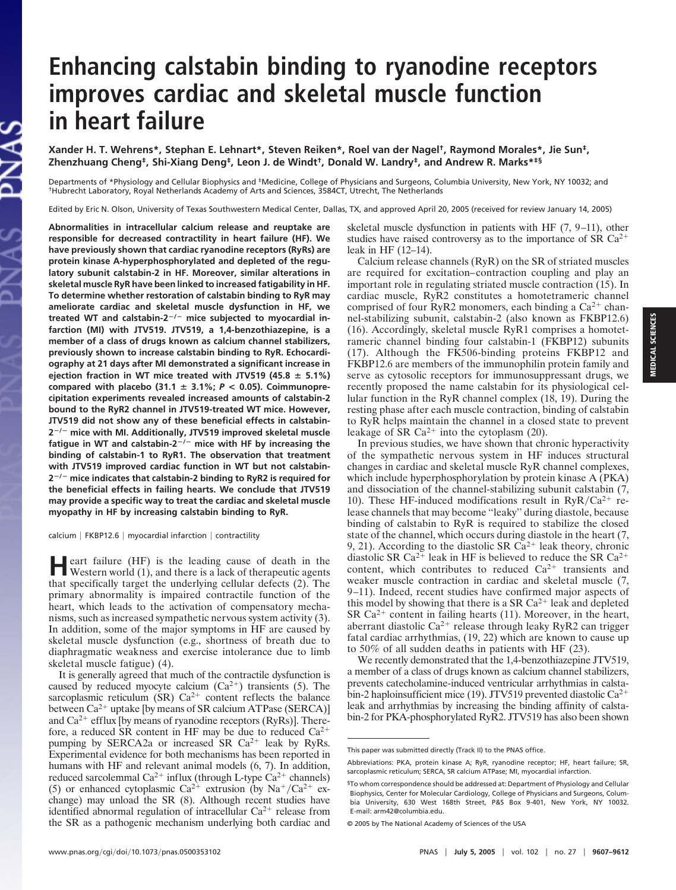# **Enhancing calstabin binding to ryanodine receptors improves cardiac and skeletal muscle function in heart failure**

**Xander H. T. Wehrens\*, Stephan E. Lehnart\*, Steven Reiken\*, Roel van der Nagel† , Raymond Morales\*, Jie Sun‡ , Zhenzhuang Cheng‡ , Shi-Xiang Deng‡ , Leon J. de Windt† , Donald W. Landry‡ , and Andrew R. Marks\*‡§**

Departments of \*Physiology and Cellular Biophysics and ‡Medicine, College of Physicians and Surgeons, Columbia University, New York, NY 10032; and †Hubrecht Laboratory, Royal Netherlands Academy of Arts and Sciences, 3584CT, Utrecht, The Netherlands

Edited by Eric N. Olson, University of Texas Southwestern Medical Center, Dallas, TX, and approved April 20, 2005 (received for review January 14, 2005)

**Abnormalities in intracellular calcium release and reuptake are responsible for decreased contractility in heart failure (HF). We have previously shown that cardiac ryanodine receptors (RyRs) are protein kinase A-hyperphosphorylated and depleted of the regulatory subunit calstabin-2 in HF. Moreover, similar alterations in skeletal muscle RyR have been linked to increased fatigability in HF. To determine whether restoration of calstabin binding to RyR may ameliorate cardiac and skeletal muscle dysfunction in HF, we treated WT and calstabin-2/ mice subjected to myocardial infarction (MI) with JTV519. JTV519, a 1,4-benzothiazepine, is a member of a class of drugs known as calcium channel stabilizers, previously shown to increase calstabin binding to RyR. Echocardiography at 21 days after MI demonstrated a significant increase in** ejection fraction in WT mice treated with JTV519  $(45.8 \pm 5.1\%)$ compared with placebo  $(31.1 \pm 3.1\%; P < 0.05)$ . Coimmunopre**cipitation experiments revealed increased amounts of calstabin-2 bound to the RyR2 channel in JTV519-treated WT mice. However, JTV519 did not show any of these beneficial effects in calstabin-2 / mice with MI. Additionally, JTV519 improved skeletal muscle fatigue in WT and calstabin-2/ mice with HF by increasing the binding of calstabin-1 to RyR1. The observation that treatment with JTV519 improved cardiac function in WT but not calstabin-2 / mice indicates that calstabin-2 binding to RyR2 is required for the beneficial effects in failing hearts. We conclude that JTV519 may provide a specific way to treat the cardiac and skeletal muscle myopathy in HF by increasing calstabin binding to RyR.**

calcium | FKBP12.6 | myocardial infarction | contractility

**H** eart failure (HF) is the leading cause of death in the Western world (1), and there is a lack of therapeutic agents eart failure (HF) is the leading cause of death in the that specifically target the underlying cellular defects (2). The primary abnormality is impaired contractile function of the heart, which leads to the activation of compensatory mechanisms, such as increased sympathetic nervous system activity (3). In addition, some of the major symptoms in HF are caused by skeletal muscle dysfunction (e.g., shortness of breath due to diaphragmatic weakness and exercise intolerance due to limb skeletal muscle fatigue) (4).

It is generally agreed that much of the contractile dysfunction is caused by reduced myocyte calcium  $(Ca^{2+})$  transients (5). The sarcoplasmic reticulum  $(SR)$  Ca<sup>2+</sup> content reflects the balance between  $Ca^{2+}$  uptake [by means of SR calcium ATPase (SERCA)] and  $Ca^{2+}$  efflux [by means of ryanodine receptors (RyRs)]. Therefore, a reduced SR content in HF may be due to reduced  $Ca^{2+}$ pumping by SERCA2a or increased SR  $Ca^{2+}$  leak by RyRs. Experimental evidence for both mechanisms has been reported in humans with HF and relevant animal models (6, 7). In addition, reduced sarcolemmal Ca<sup>2+</sup> influx (through L-type  $\text{Ca}^{2+}$  channels) (5) or enhanced cytoplasmic Ca<sup>2+</sup> extrusion (by Na<sup>+</sup>/Ca<sup>2+</sup> exchange) may unload the SR (8). Although recent studies have identified abnormal regulation of intracellular  $Ca^{2+}$  release from the SR as a pathogenic mechanism underlying both cardiac and skeletal muscle dysfunction in patients with HF (7, 9–11), other studies have raised controversy as to the importance of SR  $Ca^{2+}$ leak in HF (12–14).

Calcium release channels (RyR) on the SR of striated muscles are required for excitation–contraction coupling and play an important role in regulating striated muscle contraction (15). In cardiac muscle, RyR2 constitutes a homotetrameric channel comprised of four RyR2 monomers, each binding a  $Ca^{2+}$  channel-stabilizing subunit, calstabin-2 (also known as FKBP12.6) (16). Accordingly, skeletal muscle RyR1 comprises a homotetrameric channel binding four calstabin-1 (FKBP12) subunits (17). Although the FK506-binding proteins FKBP12 and FKBP12.6 are members of the immunophilin protein family and serve as cytosolic receptors for immunosuppressant drugs, we recently proposed the name calstabin for its physiological cellular function in the RyR channel complex (18, 19). During the resting phase after each muscle contraction, binding of calstabin to RyR helps maintain the channel in a closed state to prevent leakage of SR  $Ca^{2+}$  into the cytoplasm (20).

In previous studies, we have shown that chronic hyperactivity of the sympathetic nervous system in HF induces structural changes in cardiac and skeletal muscle RyR channel complexes, which include hyperphosphorylation by protein kinase A (PKA) and dissociation of the channel-stabilizing subunit calstabin (7, 10). These HF-induced modifications result in  $RyR/Ca^{2+}$  release channels that may become ''leaky'' during diastole, because binding of calstabin to RyR is required to stabilize the closed state of the channel, which occurs during diastole in the heart (7, 9, 21). According to the diastolic SR  $Ca^{2+}$  leak theory, chronic diastolic SR Ca<sup>2+</sup> leak in HF is believed to reduce the SR Ca<sup>2+</sup> content, which contributes to reduced  $Ca^{2+}$  transients and weaker muscle contraction in cardiac and skeletal muscle (7, 9–11). Indeed, recent studies have confirmed major aspects of this model by showing that there is a SR  $Ca^{2+}$  leak and depleted SR  $Ca^{2+}$  content in failing hearts (11). Moreover, in the heart, aberrant diastolic Ca<sup>2+</sup> release through leaky RyR2 can trigger fatal cardiac arrhythmias, (19, 22) which are known to cause up to 50% of all sudden deaths in patients with HF (23).

We recently demonstrated that the 1,4-benzothiazepine JTV519, a member of a class of drugs known as calcium channel stabilizers, prevents catecholamine-induced ventricular arrhythmias in calstabin-2 haploinsufficient mice (19). JTV519 prevented diastolic Ca<sup>2+</sup> leak and arrhythmias by increasing the binding affinity of calstabin-2 for PKA-phosphorylated RyR2. JTV519 has also been shown

This paper was submitted directly (Track II) to the PNAS office.

Abbreviations: PKA, protein kinase A; RyR, ryanodine receptor; HF, heart failure; SR, sarcoplasmic reticulum; SERCA, SR calcium ATPase; MI, myocardial infarction.

<sup>§</sup>To whom correspondence should be addressed at: Department of Physiology and Cellular Biophysics, Center for Molecular Cardiology, College of Physicians and Surgeons, Columbia University, 630 West 168th Street, P&S Box 9-401, New York, NY 10032. E-mail: arm42@columbia.edu.

<sup>© 2005</sup> by The National Academy of Sciences of the USA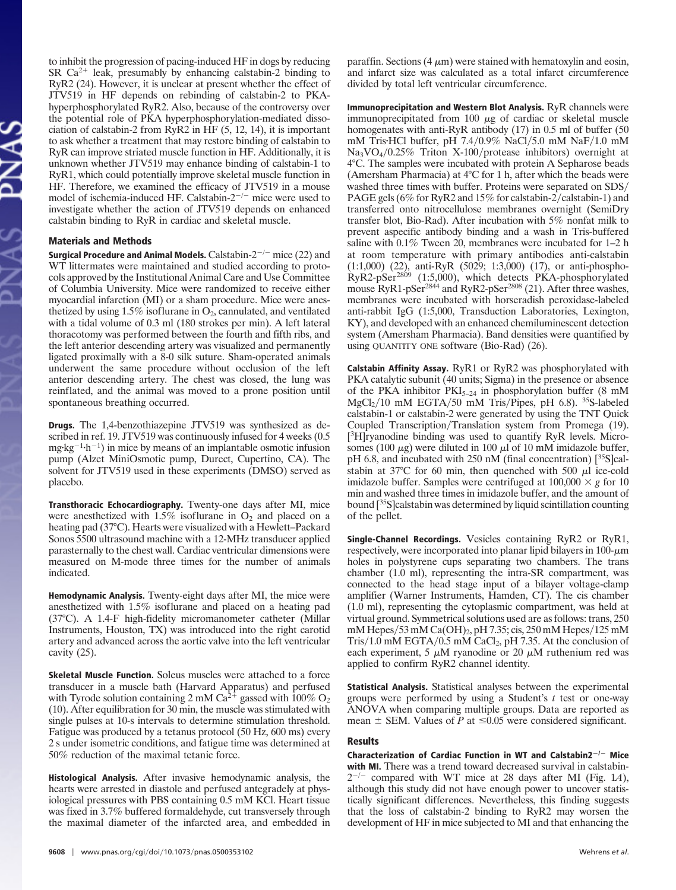to inhibit the progression of pacing-induced HF in dogs by reducing SR  $Ca^{2+}$  leak, presumably by enhancing calstabin-2 binding to RyR2 (24). However, it is unclear at present whether the effect of JTV519 in HF depends on rebinding of calstabin-2 to PKAhyperphosphorylated RyR2. Also, because of the controversy over the potential role of PKA hyperphosphorylation-mediated dissociation of calstabin-2 from RyR2 in HF (5, 12, 14), it is important to ask whether a treatment that may restore binding of calstabin to RyR can improve striated muscle function in HF. Additionally, it is unknown whether JTV519 may enhance binding of calstabin-1 to RyR1, which could potentially improve skeletal muscle function in HF. Therefore, we examined the efficacy of JTV519 in a mouse model of ischemia-induced HF. Calstabin- $2^{-/-}$  mice were used to investigate whether the action of JTV519 depends on enhanced calstabin binding to RyR in cardiac and skeletal muscle.

### Materials and Methods

Surgical Procedure and Animal Models.  $Calstabin-2^{-/-}$  mice (22) and WT littermates were maintained and studied according to protocols approved by the Institutional Animal Care and Use Committee of Columbia University. Mice were randomized to receive either myocardial infarction (MI) or a sham procedure. Mice were anesthetized by using  $1.5\%$  isoflurane in  $O_2$ , cannulated, and ventilated with a tidal volume of 0.3 ml (180 strokes per min). A left lateral thoracotomy was performed between the fourth and fifth ribs, and the left anterior descending artery was visualized and permanently ligated proximally with a 8-0 silk suture. Sham-operated animals underwent the same procedure without occlusion of the left anterior descending artery. The chest was closed, the lung was reinflated, and the animal was moved to a prone position until spontaneous breathing occurred.

Drugs. The 1,4-benzothiazepine JTV519 was synthesized as described in ref. 19. JTV519 was continuously infused for 4 weeks  $(0.5)$ mg·kg<sup>-1</sup>·h<sup>-1</sup>) in mice by means of an implantable osmotic infusion pump (Alzet MiniOsmotic pump, Durect, Cupertino, CA). The solvent for JTV519 used in these experiments (DMSO) served as placebo.

Transthoracic Echocardiography. Twenty-one days after MI, mice were anesthetized with  $1.5\%$  isoflurane in  $O_2$  and placed on a heating pad (37°C). Hearts were visualized with a Hewlett–Packard Sonos 5500 ultrasound machine with a 12-MHz transducer applied parasternally to the chest wall. Cardiac ventricular dimensions were measured on M-mode three times for the number of animals indicated.

Hemodynamic Analysis. Twenty-eight days after MI, the mice were anesthetized with 1.5% isoflurane and placed on a heating pad (37°C). A 1.4-F high-fidelity micromanometer catheter (Millar Instruments, Houston, TX) was introduced into the right carotid artery and advanced across the aortic valve into the left ventricular cavity (25).

Skeletal Muscle Function. Soleus muscles were attached to a force transducer in a muscle bath (Harvard Apparatus) and perfused with Tyrode solution containing 2 mM  $Ca<sup>2+</sup>$  gassed with 100% O<sub>2</sub> (10). After equilibration for 30 min, the muscle was stimulated with single pulses at 10-s intervals to determine stimulation threshold. Fatigue was produced by a tetanus protocol (50 Hz, 600 ms) every 2 s under isometric conditions, and fatigue time was determined at 50% reduction of the maximal tetanic force.

Histological Analysis. After invasive hemodynamic analysis, the hearts were arrested in diastole and perfused antegradely at physiological pressures with PBS containing 0.5 mM KCl. Heart tissue was fixed in 3.7% buffered formaldehyde, cut transversely through the maximal diameter of the infarcted area, and embedded in paraffin. Sections  $(4 \mu m)$  were stained with hematoxylin and eosin, and infarct size was calculated as a total infarct circumference divided by total left ventricular circumference.

Immunoprecipitation and Western Blot Analysis. RyR channels were immunoprecipitated from 100  $\mu$ g of cardiac or skeletal muscle homogenates with anti-RyR antibody (17) in 0.5 ml of buffer (50 mM Tris HCl buffer, pH 7.4/0.9% NaCl/5.0 mM NaF/1.0 mM Na<sub>3</sub>VO<sub>4</sub>/0.25% Triton X-100/protease inhibitors) overnight at 4°C. The samples were incubated with protein A Sepharose beads (Amersham Pharmacia) at 4°C for 1 h, after which the beads were washed three times with buffer. Proteins were separated on SDS/ PAGE gels (6% for RyR2 and 15% for calstabin-2/calstabin-1) and transferred onto nitrocellulose membranes overnight (SemiDry transfer blot, Bio-Rad). After incubation with 5% nonfat milk to prevent aspecific antibody binding and a wash in Tris-buffered saline with 0.1% Tween 20, membranes were incubated for 1–2 h at room temperature with primary antibodies anti-calstabin (1:1,000) (22), anti-RyR (5029; 1:3,000) (17), or anti-phospho-RyR2-pSer<sup>2809</sup> (1:5,000), which detects PKA-phosphorylated mouse RyR1-pSer<sup>2844</sup> and RyR2-pSer<sup>2808</sup> (21). After three washes, membranes were incubated with horseradish peroxidase-labeled anti-rabbit IgG (1:5,000, Transduction Laboratories, Lexington, KY), and developed with an enhanced chemiluminescent detection system (Amersham Pharmacia). Band densities were quantified by using QUANTITY ONE software (Bio-Rad) (26).

Calstabin Affinity Assay. RyR1 or RyR2 was phosphorylated with PKA catalytic subunit (40 units; Sigma) in the presence or absence of the PKA inhibitor  $PKI_{5-24}$  in phosphorylation buffer (8 mM MgCl<sub>2</sub>/10 mM EGTA/50 mM Tris/Pipes, pH 6.8). <sup>35</sup>S-labeled calstabin-1 or calstabin-2 were generated by using the TNT Quick Coupled Transcription/Translation system from Promega (19). [ <sup>3</sup>H]ryanodine binding was used to quantify RyR levels. Microsomes (100  $\mu$ g) were diluted in 100  $\mu$ l of 10 mM imidazole buffer,  $pH$  6.8, and incubated with 250 nM (final concentration) [ $35$ S]calstabin at 37 $\degree$ C for 60 min, then quenched with 500  $\mu$ l ice-cold imidazole buffer. Samples were centrifuged at  $100,000 \times g$  for 10 min and washed three times in imidazole buffer, and the amount of bound [<sup>35</sup>S]calstabin was determined by liquid scintillation counting of the pellet.

Single-Channel Recordings. Vesicles containing RyR2 or RyR1, respectively, were incorporated into planar lipid bilayers in  $100-\mu m$ holes in polystyrene cups separating two chambers. The trans chamber (1.0 ml), representing the intra-SR compartment, was connected to the head stage input of a bilayer voltage-clamp amplifier (Warner Instruments, Hamden, CT). The cis chamber (1.0 ml), representing the cytoplasmic compartment, was held at virtual ground. Symmetrical solutions used are as follows: trans, 250 mM Hepes/53 mM Ca(OH)<sub>2</sub>, pH 7.35; cis, 250 mM Hepes/125 mM  $Tris/1.0$  mM  $EGTA/0.5$  mM  $CaCl<sub>2</sub>$ , pH 7.35. At the conclusion of each experiment, 5  $\mu$ M ryanodine or 20  $\mu$ M ruthenium red was applied to confirm RyR2 channel identity.

Statistical Analysis. Statistical analyses between the experimental groups were performed by using a Student's *t* test or one-way ANOVA when comparing multiple groups. Data are reported as mean  $\pm$  SEM. Values of *P* at  $\leq 0.05$  were considered significant.

#### Results

Characterization of Cardiac Function in WT and Calstabin2 $^{-/-}$  Mice with MI. There was a trend toward decreased survival in calstabin- $2^{-/-}$  compared with WT mice at 28 days after MI (Fig. 1A), although this study did not have enough power to uncover statistically significant differences. Nevertheless, this finding suggests that the loss of calstabin-2 binding to RyR2 may worsen the development of HF in mice subjected to MI and that enhancing the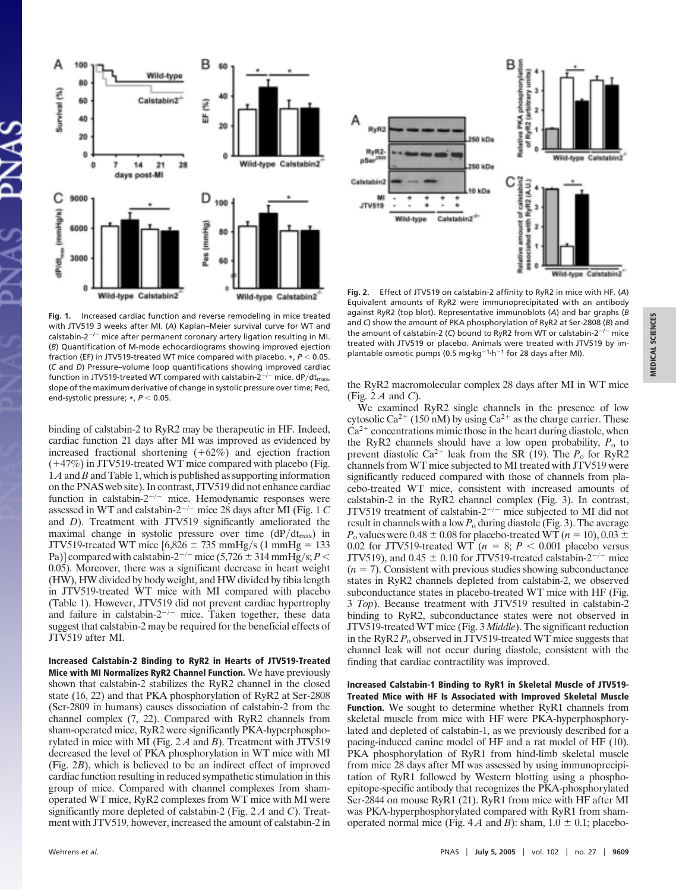

**Fig. 1.** Increased cardiac function and reverse remodeling in mice treated with JTV519 3 weeks after MI. (*A*) Kaplan–Meier survival curve for WT and calstabin-2<sup>-/-</sup> mice after permanent coronary artery ligation resulting in MI. (*B*) Quantification of M-mode echocardiograms showing improved ejection fraction (EF) in JTV519-treated WT mice compared with placebo.  $*$ ,  $P < 0.05$ . (*C* and *D*) Pressure–volume loop quantifications showing improved cardiac function in JTV519-treated WT compared with calstabin-2<sup>-/-</sup> mice. dP/dt<sub>max</sub>, slope of the maximum derivative of change in systolic pressure over time; Ped, end-systolic pressure; \*,  $P < 0.05$ .

binding of calstabin-2 to RyR2 may be therapeutic in HF. Indeed, cardiac function 21 days after MI was improved as evidenced by increased fractional shortening  $(+62%)$  and ejection fraction  $(+47%)$  in JTV519-treated WT mice compared with placebo (Fig. 1*A*and *B* and Table 1, which is published as supporting information on the PNAS web site). In contrast, JTV519 did not enhance cardiac function in calstabin- $2^{-/-}$  mice. Hemodynamic responses were assessed in WT and calstabin-2<sup>-/-</sup> mice 28 days after MI (Fig. 1 C and *D*). Treatment with JTV519 significantly ameliorated the maximal change in systolic pressure over time  $(dP/dt<sub>max</sub>)$  in JTV519-treated WT mice  $[6,826 \pm 735 \text{ mmHg/s} (1 \text{ mmHg} = 133$ Pa)] compared with calstabin-2<sup>-/-</sup> mice (5,726  $\pm$  314 mmHg/s; P < 0.05). Moreover, there was a significant decrease in heart weight (HW), HW divided by body weight, and HW divided by tibia length in JTV519-treated WT mice with MI compared with placebo (Table 1). However, JTV519 did not prevent cardiac hypertrophy and failure in calstabin- $2^{-/-}$  mice. Taken together, these data suggest that calstabin-2 may be required for the beneficial effects of JTV519 after MI.

Increased Calstabin-2 Binding to RyR2 in Hearts of JTV519-Treated Mice with MI Normalizes RyR2 Channel Function. We have previously shown that calstabin-2 stabilizes the RyR2 channel in the closed state (16, 22) and that PKA phosphorylation of RyR2 at Ser-2808 (Ser-2809 in humans) causes dissociation of calstabin-2 from the channel complex (7, 22). Compared with RyR2 channels from sham-operated mice, RyR2 were significantly PKA-hyperphosphorylated in mice with MI (Fig. 2 *A* and *B*). Treatment with JTV519 decreased the level of PKA phosphorylation in WT mice with MI (Fig. 2*B*), which is believed to be an indirect effect of improved cardiac function resulting in reduced sympathetic stimulation in this group of mice. Compared with channel complexes from shamoperated WT mice, RyR2 complexes from WT mice with MI were significantly more depleted of calstabin-2 (Fig. 2 *A* and *C*). Treatment with JTV519, however, increased the amount of calstabin-2 in



**Fig. 2.** Effect of JTV519 on calstabin-2 affinity to RyR2 in mice with HF. (*A*) Equivalent amounts of RyR2 were immunoprecipitated with an antibody against RyR2 (top blot). Representative immunoblots (*A*) and bar graphs (*B* and *C*) show the amount of PKA phosphorylation of RyR2 at Ser-2808 (*B*) and the amount of calstabin-2 (C) bound to RyR2 from WT or calstabin-2<sup>-/-</sup> mice treated with JTV519 or placebo. Animals were treated with JTV519 by implantable osmotic pumps (0.5 mg·kg<sup>-1</sup>·h<sup>-1</sup> for 28 days after MI).

the RyR2 macromolecular complex 28 days after MI in WT mice (Fig. 2 *A* and *C*).

We examined RyR2 single channels in the presence of low cytosolic Ca<sup>2+</sup> (150 nM) by using Ca<sup>2+</sup> as the charge carrier. These  $Ca<sup>2+</sup>$  concentrations mimic those in the heart during diastole, when the RyR2 channels should have a low open probability,  $P_0$  to prevent diastolic Ca<sup>2+</sup> leak from the SR (19). The  $P_0$  for RyR2 channels from WT mice subjected to MI treated with JTV519 were significantly reduced compared with those of channels from placebo-treated WT mice, consistent with increased amounts of calstabin-2 in the RyR2 channel complex (Fig. 3). In contrast, JTV519 treatment of calstabin-2<sup>-/-</sup> mice subjected to MI did not result in channels with a low *P*<sup>o</sup> during diastole (Fig. 3). The average  $P_0$  values were 0.48  $\pm$  0.08 for placebo-treated WT ( $n = 10$ ), 0.03  $\pm$ 0.02 for JTV519-treated WT  $(n = 8; P < 0.001)$  placebo versus JTV519), and  $0.45 \pm 0.10$  for JTV519-treated calstabin-2<sup>-/-</sup> mice  $(n = 7)$ . Consistent with previous studies showing subconductance states in RyR2 channels depleted from calstabin-2, we observed subconductance states in placebo-treated WT mice with HF (Fig. 3 *Top*). Because treatment with JTV519 resulted in calstabin-2 binding to RyR2, subconductance states were not observed in JTV519-treated WT mice (Fig. 3 *Middle*). The significant reduction in the RyR2  $P_0$  observed in JTV519-treated WT mice suggests that channel leak will not occur during diastole, consistent with the finding that cardiac contractility was improved.

Increased Calstabin-1 Binding to RyR1 in Skeletal Muscle of JTV519- Treated Mice with HF Is Associated with Improved Skeletal Muscle Function. We sought to determine whether RyR1 channels from skeletal muscle from mice with HF were PKA-hyperphosphorylated and depleted of calstabin-1, as we previously described for a pacing-induced canine model of HF and a rat model of HF (10). PKA phosphorylation of RyR1 from hind-limb skeletal muscle from mice 28 days after MI was assessed by using immunoprecipitation of RyR1 followed by Western blotting using a phosphoepitope-specific antibody that recognizes the PKA-phosphorylated Ser-2844 on mouse RyR1 (21). RyR1 from mice with HF after MI was PKA-hyperphosphorylated compared with RyR1 from shamoperated normal mice (Fig.  $4A$  and *B*): sham,  $1.0 \pm 0.1$ ; placebo-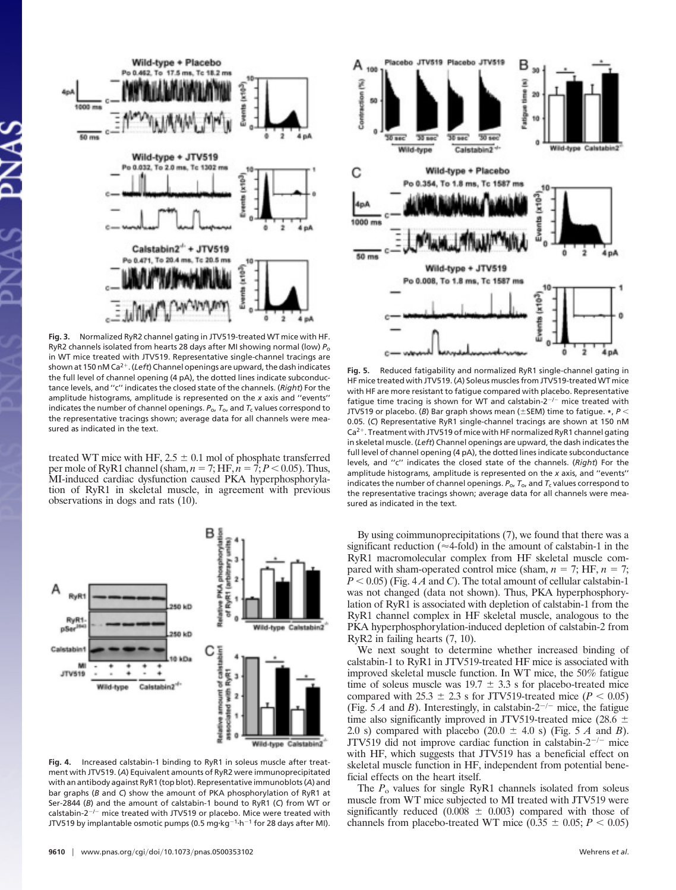

**Fig. 3.** Normalized RyR2 channel gating in JTV519-treated WT mice with HF. RyR2 channels isolated from hearts 28 days after MI showing normal (low) *P*<sup>o</sup> in WT mice treated with JTV519. Representative single-channel tracings are shown at 150 nM Ca<sup>2+</sup>. (*Left*) Channel openings are upward, the dash indicates the full level of channel opening (4 pA), the dotted lines indicate subconductance levels, and ''c'' indicates the closed state of the channels. (*Right*) For the amplitude histograms, amplitude is represented on the *x* axis and ''events'' indicates the number of channel openings.  $P_{\text{o}}$ ,  $T_{\text{o}}$ , and  $T_{\text{c}}$  values correspond to the representative tracings shown; average data for all channels were measured as indicated in the text.

treated WT mice with HF,  $2.5 \pm 0.1$  mol of phosphate transferred per mole of RyR1 channel (sham,  $n = 7$ ; HF,  $n = 7$ ;  $P < 0.05$ ). Thus, MI-induced cardiac dysfunction caused PKA hyperphosphorylation of RyR1 in skeletal muscle, in agreement with previous observations in dogs and rats (10).



**Fig. 4.** Increased calstabin-1 binding to RyR1 in soleus muscle after treatment with JTV519. (*A*) Equivalent amounts of RyR2 were immunoprecipitated with an antibody against RyR1 (top blot). Representative immunoblots (*A*) and bar graphs (*B* and *C*) show the amount of PKA phosphorylation of RyR1 at Ser-2844 (*B*) and the amount of calstabin-1 bound to RyR1 (*C*) from WT or calstabin-2<sup>-/-</sup> mice treated with JTV519 or placebo. Mice were treated with JTV519 by implantable osmotic pumps (0.5 mg·kg<sup>-1</sup>·h<sup>-1</sup> for 28 days after MI).



**Fig. 5.** Reduced fatigability and normalized RyR1 single-channel gating in HF mice treated with JTV519. (*A*) Soleus muscles from JTV519-treated WT mice with HF are more resistant to fatigue compared with placebo. Representative fatigue time tracing is shown for WT and calstabin-2 $^{-/-}$  mice treated with JTV519 or placebo. (*B*) Bar graph shows mean ( $\pm$ SEM) time to fatigue.  $*$ ,  $P$  < 0.05. (*C*) Representative RyR1 single-channel tracings are shown at 150 nM  $Ca<sup>2+</sup>$ . Treatment with JTV519 of mice with HF normalized RyR1 channel gating in skeletal muscle. (*Left*) Channel openings are upward, the dash indicates the full level of channel opening (4 pA), the dotted lines indicate subconductance levels, and ''c'' indicates the closed state of the channels. (*Right*) For the amplitude histograms, amplitude is represented on the *x* axis, and ''events'' indicates the number of channel openings.  $P_{\text{o}}$ ,  $T_{\text{o}}$ , and  $T_{\text{c}}$  values correspond to the representative tracings shown; average data for all channels were measured as indicated in the text.

By using coimmunoprecipitations (7), we found that there was a significant reduction ( $\approx$  4-fold) in the amount of calstabin-1 in the RyR1 macromolecular complex from HF skeletal muscle compared with sham-operated control mice (sham,  $n = 7$ ; HF,  $n = 7$ ;  $P < 0.05$ ) (Fig. 4A and C). The total amount of cellular calstabin-1 was not changed (data not shown). Thus, PKA hyperphosphorylation of RyR1 is associated with depletion of calstabin-1 from the RyR1 channel complex in HF skeletal muscle, analogous to the PKA hyperphosphorylation-induced depletion of calstabin-2 from RyR2 in failing hearts (7, 10).

We next sought to determine whether increased binding of calstabin-1 to RyR1 in JTV519-treated HF mice is associated with improved skeletal muscle function. In WT mice, the 50% fatigue time of soleus muscle was  $19.7 \pm 3.3$  s for placebo-treated mice compared with  $25.3 \pm 2.3$  s for JTV519-treated mice ( $P < 0.05$ ) (Fig. 5 *A* and *B*). Interestingly, in calstabin-2<sup>-/-</sup> mice, the fatigue time also significantly improved in JTV519-treated mice (28.6  $\pm$ 2.0 s) compared with placebo  $(20.0 \pm 4.0 \text{ s})$  (Fig. 5 *A* and *B*). JTV519 did not improve cardiac function in calstabin- $2^{-/-}$  mice with HF, which suggests that JTV519 has a beneficial effect on skeletal muscle function in HF, independent from potential beneficial effects on the heart itself.

The  $P_0$  values for single RyR1 channels isolated from soleus muscle from WT mice subjected to MI treated with JTV519 were significantly reduced  $(0.008 \pm 0.003)$  compared with those of channels from placebo-treated WT mice  $(0.35 \pm 0.05; P \le 0.05)$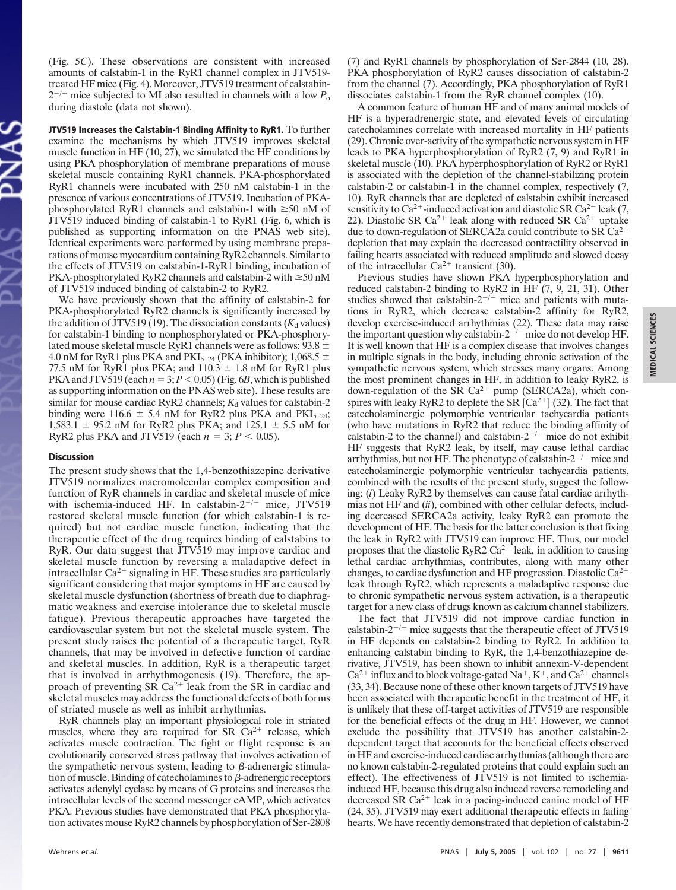(Fig. 5*C*). These observations are consistent with increased amounts of calstabin-1 in the RyR1 channel complex in JTV519 treated HF mice (Fig. 4). Moreover, JTV519 treatment of calstabin- $2^{-/-}$  mice subjected to MI also resulted in channels with a low  $P_0$ during diastole (data not shown).

JTV519 Increases the Calstabin-1 Binding Affinity to RyR1. To further examine the mechanisms by which JTV519 improves skeletal muscle function in HF (10, 27), we simulated the HF conditions by using PKA phosphorylation of membrane preparations of mouse skeletal muscle containing RyR1 channels. PKA-phosphorylated RyR1 channels were incubated with 250 nM calstabin-1 in the presence of various concentrations of JTV519. Incubation of PKAphosphorylated RyR1 channels and calstabin-1 with  $\geq 50$  nM of JTV519 induced binding of calstabin-1 to RyR1 (Fig. 6, which is published as supporting information on the PNAS web site). Identical experiments were performed by using membrane preparations of mouse myocardium containing RyR2 channels. Similar to the effects of JTV519 on calstabin-1-RyR1 binding, incubation of PKA-phosphorylated RyR2 channels and calstabin-2 with  $\geq$ 50 nM of JTV519 induced binding of calstabin-2 to RyR2.

We have previously shown that the affinity of calstabin-2 for PKA-phosphorylated RyR2 channels is significantly increased by the addition of JTV519 (19). The dissociation constants  $(K_d$  values) for calstabin-1 binding to nonphosphorylated or PKA-phosphorylated mouse skeletal muscle RyR1 channels were as follows: 93.8 4.0 nM for RyR1 plus PKA and PKI<sub>5–24</sub> (PKA inhibitor); 1,068.5  $\pm$ 77.5 nM for RyR1 plus PKA; and  $110.3 \pm 1.8$  nM for RyR1 plus PKA and JTV519 (each  $n = 3$ ;  $P < 0.05$ ) (Fig. 6*B*, which is published as supporting information on the PNAS web site). These results are similar for mouse cardiac RyR2 channels;  $K_d$  values for calstabin-2 binding were 116.6  $\pm$  5.4 nM for RyR2 plus PKA and PKI<sub>5–24</sub>;  $1,583.1 \pm 95.2$  nM for RyR2 plus PKA; and  $125.1 \pm 5.5$  nM for RyR2 plus PKA and JTV519 (each  $n = 3$ ;  $P < 0.05$ ).

#### **Discussion**

The present study shows that the 1,4-benzothiazepine derivative JTV519 normalizes macromolecular complex composition and function of RyR channels in cardiac and skeletal muscle of mice with ischemia-induced HF. In calstabin- $2^{-/-}$  mice, JTV519 restored skeletal muscle function (for which calstabin-1 is required) but not cardiac muscle function, indicating that the therapeutic effect of the drug requires binding of calstabins to RyR. Our data suggest that JTV519 may improve cardiac and skeletal muscle function by reversing a maladaptive defect in intracellular  $Ca^{2+}$  signaling in HF. These studies are particularly significant considering that major symptoms in HF are caused by skeletal muscle dysfunction (shortness of breath due to diaphragmatic weakness and exercise intolerance due to skeletal muscle fatigue). Previous therapeutic approaches have targeted the cardiovascular system but not the skeletal muscle system. The present study raises the potential of a therapeutic target, RyR channels, that may be involved in defective function of cardiac and skeletal muscles. In addition, RyR is a therapeutic target that is involved in arrhythmogenesis (19). Therefore, the approach of preventing SR  $Ca^{2+}$  leak from the SR in cardiac and skeletal muscles may address the functional defects of both forms of striated muscle as well as inhibit arrhythmias.

RyR channels play an important physiological role in striated muscles, where they are required for SR  $Ca^{2+}$  release, which activates muscle contraction. The fight or flight response is an evolutionarily conserved stress pathway that involves activation of the sympathetic nervous system, leading to  $\beta$ -adrenergic stimulation of muscle. Binding of catecholamines to  $\beta$ -adrenergic receptors activates adenylyl cyclase by means of G proteins and increases the intracellular levels of the second messenger cAMP, which activates PKA. Previous studies have demonstrated that PKA phosphorylation activates mouse RyR2 channels by phosphorylation of Ser-2808

(7) and RyR1 channels by phosphorylation of Ser-2844 (10, 28). PKA phosphorylation of RyR2 causes dissociation of calstabin-2 from the channel (7). Accordingly, PKA phosphorylation of RyR1 dissociates calstabin-1 from the RyR channel complex (10).

A common feature of human HF and of many animal models of HF is a hyperadrenergic state, and elevated levels of circulating catecholamines correlate with increased mortality in HF patients (29). Chronic over-activity of the sympathetic nervous system in HF leads to PKA hyperphosphorylation of RyR2 (7, 9) and RyR1 in skeletal muscle (10). PKA hyperphosphorylation of RyR2 or RyR1 is associated with the depletion of the channel-stabilizing protein calstabin-2 or calstabin-1 in the channel complex, respectively (7, 10). RyR channels that are depleted of calstabin exhibit increased sensitivity to Ca<sup>2+</sup>-induced activation and diastolic SR Ca<sup>2+</sup> leak (7, 22). Diastolic SR Ca<sup>2+</sup> leak along with reduced SR Ca<sup>2+</sup> uptake due to down-regulation of SERCA2a could contribute to SR  $Ca^{2+}$ depletion that may explain the decreased contractility observed in failing hearts associated with reduced amplitude and slowed decay of the intracellular  $Ca^{2+}$  transient (30).

Previous studies have shown PKA hyperphosphorylation and reduced calstabin-2 binding to RyR2 in HF (7, 9, 21, 31). Other studies showed that calstabin- $2^{-/-}$  mice and patients with mutations in RyR2, which decrease calstabin-2 affinity for RyR2, develop exercise-induced arrhythmias (22). These data may raise the important question why calstabin- $2^{-/-}$  mice do not develop HF. It is well known that HF is a complex disease that involves changes in multiple signals in the body, including chronic activation of the sympathetic nervous system, which stresses many organs. Among the most prominent changes in HF, in addition to leaky RyR2, is down-regulation of the SR  $Ca^{2+}$  pump (SERCA2a), which conspires with leaky RyR2 to deplete the SR  $\left[\text{Ca}^{2+}\right]$  (32). The fact that catecholaminergic polymorphic ventricular tachycardia patients (who have mutations in RyR2 that reduce the binding affinity of calstabin-2 to the channel) and calstabin- $2^{-/-}$  mice do not exhibit HF suggests that RyR2 leak, by itself, may cause lethal cardiac arrhythmias, but not HF. The phenotype of calstabin- $2^{-/-}$  mice and catecholaminergic polymorphic ventricular tachycardia patients, combined with the results of the present study, suggest the following: (*i*) Leaky RyR2 by themselves can cause fatal cardiac arrhythmias not HF and (*ii*), combined with other cellular defects, including decreased SERCA2a activity, leaky RyR2 can promote the development of HF. The basis for the latter conclusion is that fixing the leak in RyR2 with JTV519 can improve HF. Thus, our model proposes that the diastolic RyR2  $Ca^{2+}$  leak, in addition to causing lethal cardiac arrhythmias, contributes, along with many other changes, to cardiac dysfunction and HF progression. Diastolic  $Ca^{2+}$ leak through RyR2, which represents a maladaptive response due to chronic sympathetic nervous system activation, is a therapeutic target for a new class of drugs known as calcium channel stabilizers.

The fact that JTV519 did not improve cardiac function in calstabin- $2^{-/-}$  mice suggests that the therapeutic effect of JTV519 in HF depends on calstabin-2 binding to RyR2. In addition to enhancing calstabin binding to RyR, the 1,4-benzothiazepine derivative, JTV519, has been shown to inhibit annexin-V-dependent  $Ca^{2+}$  influx and to block voltage-gated Na<sup>+</sup>, K<sup>+</sup>, and  $Ca^{2+}$  channels (33, 34). Because none of these other known targets of JTV519 have been associated with therapeutic benefit in the treatment of HF, it is unlikely that these off-target activities of JTV519 are responsible for the beneficial effects of the drug in HF. However, we cannot exclude the possibility that JTV519 has another calstabin-2 dependent target that accounts for the beneficial effects observed in HF and exercise-induced cardiac arrhythmias (although there are no known calstabin-2-regulated proteins that could explain such an effect). The effectiveness of JTV519 is not limited to ischemiainduced HF, because this drug also induced reverse remodeling and decreased SR  $Ca^{2+}$  leak in a pacing-induced canine model of HF (24, 35). JTV519 may exert additional therapeutic effects in failing hearts. We have recently demonstrated that depletion of calstabin-2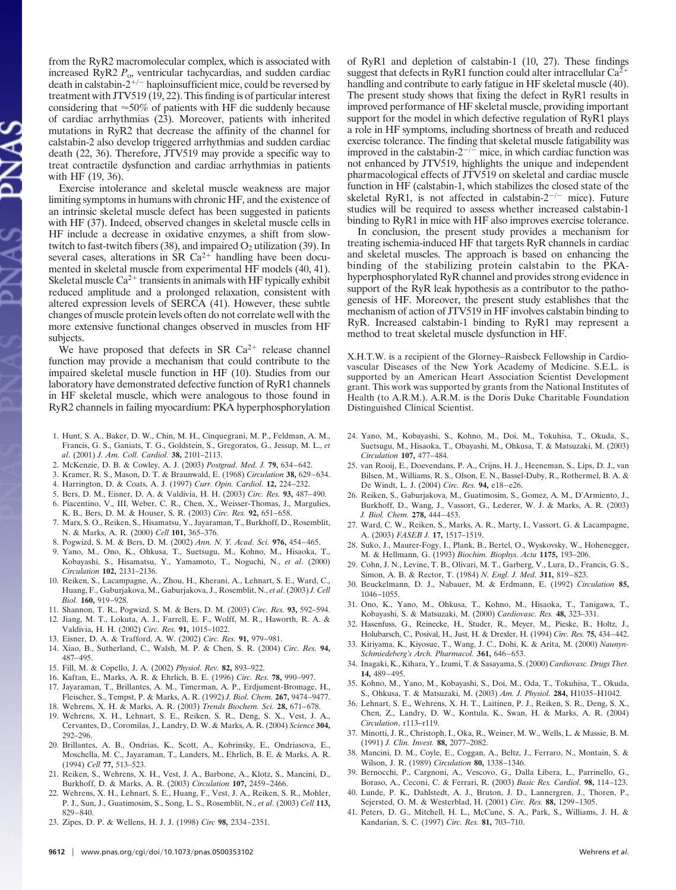from the RyR2 macromolecular complex, which is associated with increased RyR2  $P_0$ , ventricular tachycardias, and sudden cardiac death in calstabin- $2^{+/-}$  haploinsufficient mice, could be reversed by treatment with JTV519 (19, 22). This finding is of particular interest considering that  $\approx$  50% of patients with HF die suddenly because of cardiac arrhythmias (23). Moreover, patients with inherited mutations in RyR2 that decrease the affinity of the channel for calstabin-2 also develop triggered arrhythmias and sudden cardiac death (22, 36). Therefore, JTV519 may provide a specific way to treat contractile dysfunction and cardiac arrhythmias in patients with HF (19, 36).

Exercise intolerance and skeletal muscle weakness are major limiting symptoms in humans with chronic HF, and the existence of an intrinsic skeletal muscle defect has been suggested in patients with HF (37). Indeed, observed changes in skeletal muscle cells in HF include a decrease in oxidative enzymes, a shift from slowtwitch to fast-twitch fibers  $(38)$ , and impaired  $O<sub>2</sub>$  utilization  $(39)$ . In several cases, alterations in SR  $Ca^{2+}$  handling have been documented in skeletal muscle from experimental HF models (40, 41). Skeletal muscle  $Ca^{2+}$  transients in animals with HF typically exhibit reduced amplitude and a prolonged relaxation, consistent with altered expression levels of SERCA (41). However, these subtle changes of muscle protein levels often do not correlate well with the more extensive functional changes observed in muscles from HF subjects.

We have proposed that defects in SR  $Ca^{2+}$  release channel function may provide a mechanism that could contribute to the impaired skeletal muscle function in HF (10). Studies from our laboratory have demonstrated defective function of RyR1 channels in HF skeletal muscle, which were analogous to those found in RyR2 channels in failing myocardium: PKA hyperphosphorylation

- 1. Hunt, S. A., Baker, D. W., Chin, M. H., Cinquegrani, M. P., Feldman, A. M., Francis, G. S., Ganiats, T. G., Goldstein, S., Gregoratos, G., Jessup, M. L., *et al*. (2001) *J. Am. Coll. Cardiol.* **38,** 2101–2113.
- 2. McKenzie, D. B. & Cowley, A. J. (2003) *Postgrad. Med. J.* **79,** 634–642.
- 3. Kramer, R. S., Mason, D. T. & Braunwald, E. (1968) *Circulation* **38,** 629–634.
- 4. Harrington, D. & Coats, A. J. (1997) *Curr. Opin. Cardiol.* **12,** 224–232.
- 5. Bers, D. M., Eisner, D. A. & Valdivia, H. H. (2003) *Circ. Res.* **93,** 487–490.
- 6. Piacentino, V., III, Weber, C. R., Chen, X., Weisser-Thomas, J., Margulies, K. B., Bers, D. M. & Houser, S. R. (2003) *Circ. Res.* **92,** 651–658.
- 7. Marx, S. O., Reiken, S., Hisamatsu, Y., Jayaraman, T., Burkhoff, D., Rosemblit, N. & Marks, A. R. (2000) *Cell* **101,** 365–376.
- 8. Pogwizd, S. M. & Bers, D. M. (2002) *Ann. N. Y. Acad. Sci.* **976,** 454–465.
- 9. Yano, M., Ono, K., Ohkusa, T., Suetsugu, M., Kohno, M., Hisaoka, T., Kobayashi, S., Hisamatsu, Y., Yamamoto, T., Noguchi, N., *et al*. (2000) *Circulation* **102,** 2131–2136.
- 10. Reiken, S., Lacampagne, A., Zhou, H., Kherani, A., Lehnart, S. E., Ward, C., Huang, F., Gaburjakova, M., Gaburjakova, J., Rosemblit, N., *et al*. (2003) *J. Cell Biol.* **160,** 919–928.
- 11. Shannon, T. R., Pogwizd, S. M. & Bers, D. M. (2003) *Circ. Res.* **93,** 592–594. 12. Jiang, M. T., Lokuta, A. J., Farrell, E. F., Wolff, M. R., Haworth, R. A. &
- Valdivia, H. H. (2002) *Circ. Res.* **91,** 1015–1022.
- 13. Eisner, D. A. & Trafford, A. W. (2002) *Circ. Res.* **91,** 979–981.
- 14. Xiao, B., Sutherland, C., Walsh, M. P. & Chen, S. R. (2004) *Circ. Res.* **94,** 487–495.
- 15. Fill, M. & Copello, J. A. (2002) *Physiol. Rev.* **82,** 893–922.
- 16. Kaftan, E., Marks, A. R. & Ehrlich, B. E. (1996) *Circ. Res.* **78,** 990–997.
- 17. Jayaraman, T., Brillantes, A. M., Timerman, A. P., Erdjument-Bromage, H., Fleischer, S., Tempst, P. & Marks, A. R. (1992) *J. Biol. Chem.* **267,** 9474–9477.
- 18. Wehrens, X. H. & Marks, A. R. (2003) *Trends Biochem. Sci.* **28,** 671–678.
- 19. Wehrens, X. H., Lehnart, S. E., Reiken, S. R., Deng, S. X., Vest, J. A., Cervantes, D., Coromilas, J., Landry, D. W. & Marks, A. R. (2004) *Science* **304,** 292–296.
- 20. Brillantes, A. B., Ondrias, K., Scott, A., Kobrinsky, E., Ondriasova, E., Moschella, M. C., Jayaraman, T., Landers, M., Ehrlich, B. E. & Marks, A. R. (1994) *Cell* **77,** 513–523.
- 21. Reiken, S., Wehrens, X. H., Vest, J. A., Barbone, A., Klotz, S., Mancini, D., Burkhoff, D. & Marks, A. R. (2003) *Circulation* **107,** 2459–2466.
- 22. Wehrens, X. H., Lehnart, S. E., Huang, F., Vest, J. A., Reiken, S. R., Mohler, P. J., Sun, J., Guatimosim, S., Song, L. S., Rosemblit, N., *et al*. (2003) *Cell* **113,** 829–840.
- 23. Zipes, D. P. & Wellens, H. J. J. (1998) *Circ* **98,** 2334–2351.

of RyR1 and depletion of calstabin-1 (10, 27). These findings suggest that defects in RyR1 function could alter intracellular  $Ca^{2+}$ handling and contribute to early fatigue in HF skeletal muscle (40). The present study shows that fixing the defect in RyR1 results in improved performance of HF skeletal muscle, providing important support for the model in which defective regulation of RyR1 plays a role in HF symptoms, including shortness of breath and reduced exercise tolerance. The finding that skeletal muscle fatigability was improved in the calstabin- $2^{-/-}$  mice, in which cardiac function was not enhanced by JTV519, highlights the unique and independent pharmacological effects of JTV519 on skeletal and cardiac muscle function in HF (calstabin-1, which stabilizes the closed state of the skeletal RyR1, is not affected in calstabin- $2^{-/-}$  mice). Future studies will be required to assess whether increased calstabin-1 binding to RyR1 in mice with HF also improves exercise tolerance.

In conclusion, the present study provides a mechanism for treating ischemia-induced HF that targets RyR channels in cardiac and skeletal muscles. The approach is based on enhancing the binding of the stabilizing protein calstabin to the PKAhyperphosphorylated RyR channel and provides strong evidence in support of the RyR leak hypothesis as a contributor to the pathogenesis of HF. Moreover, the present study establishes that the mechanism of action of JTV519 in HF involves calstabin binding to RyR. Increased calstabin-1 binding to RyR1 may represent a method to treat skeletal muscle dysfunction in HF.

X.H.T.W. is a recipient of the Glorney–Raisbeck Fellowship in Cardiovascular Diseases of the New York Academy of Medicine. S.E.L. is supported by an American Heart Association Scientist Development grant. This work was supported by grants from the National Institutes of Health (to A.R.M.). A.R.M. is the Doris Duke Charitable Foundation Distinguished Clinical Scientist.

- 24. Yano, M., Kobayashi, S., Kohno, M., Doi, M., Tokuhisa, T., Okuda, S., Suetsugu, M., Hisaoka, T., Obayashi, M., Ohkusa, T. & Matsuzaki, M. (2003) *Circulation* **107,** 477–484.
- 25. van Rooij, E., Doevendans, P. A., Crijns, H. J., Heeneman, S., Lips, D. J., van Bilsen, M., Williams, R. S., Olson, E. N., Bassel-Duby, R., Rothermel, B. A. & De Windt, L. J. (2004) *Circ. Res.* **94,** e18–e26.
- 26. Reiken, S., Gaburjakova, M., Guatimosim, S., Gomez, A. M., D'Armiento, J., Burkhoff, D., Wang, J., Vassort, G., Lederer, W. J. & Marks, A. R. (2003) *J. Biol. Chem.* **278,** 444–453.
- 27. Ward, C. W., Reiken, S., Marks, A. R., Marty, I., Vassort, G. & Lacampagne, A. (2003) *FASEB J.* **17,** 1517–1519.
- 28. Suko, J., Maurer-Fogy, I., Plank, B., Bertel, O., Wyskovsky, W., Hohenegger, M. & Hellmann, G. (1993) *Biochim. Biophys. Acta* **1175,** 193–206.
- 29. Cohn, J. N., Levine, T. B., Olivari, M. T., Garberg, V., Lura, D., Francis, G. S., Simon, A. B. & Rector, T. (1984) *N. Engl. J. Med.* **311,** 819–823.
- 30. Beuckelmann, D. J., Nabauer, M. & Erdmann, E. (1992) *Circulation* **85,** 1046–1055.
- 31. Ono, K., Yano, M., Ohkusa, T., Kohno, M., Hisaoka, T., Tanigawa, T., Kobayashi, S. & Matsuzaki, M. (2000) *Cardiovasc. Res.* **48,** 323–331.
- 32. Hasenfuss, G., Reinecke, H., Studer, R., Meyer, M., Pieske, B., Holtz, J., Holubarsch, C., Posival, H., Just, H. & Drexler, H. (1994) *Circ. Res.* **75,** 434–442.
- 33. Kiriyama, K., Kiyosue, T., Wang, J. C., Dohi, K. & Arita, M. (2000) *Naunyn-Schmiedeberg's Arch. Pharmacol.* **361,** 646–653.
- 34. Inagaki, K., Kihara, Y., Izumi, T. & Sasayama, S. (2000) *Cardiovasc. Drugs Ther.* **14,** 489–495.
- 35. Kohno, M., Yano, M., Kobayashi, S., Doi, M., Oda, T., Tokuhisa, T., Okuda, S., Ohkusa, T. & Matsuzaki, M. (2003) *Am. J. Physiol.* **284,** H1035–H1042.
- 36. Lehnart, S. E., Wehrens, X. H. T., Laitinen, P. J., Reiken, S. R., Deng, S. X., Chen, Z., Landry, D. W., Kontula, K., Swan, H. & Marks, A. R. (2004) *Circulation*, r113–r119.
- 37. Minotti, J. R., Christoph, I., Oka, R., Weiner, M. W., Wells, L. & Massie, B. M. (1991) *J. Clin. Invest.* **88,** 2077–2082.
- 38. Mancini, D. M., Coyle, E., Coggan, A., Beltz, J., Ferraro, N., Montain, S. & Wilson, J. R. (1989) *Circulation* **80,** 1338–1346.
- 39. Bernocchi, P., Cargnoni, A., Vescovo, G., Dalla Libera, L., Parrinello, G., Boraso, A., Ceconi, C. & Ferrari, R. (2003) *Basic Res. Cardiol.* **98,** 114–123.
- 40. Lunde, P. K., Dahlstedt, A. J., Bruton, J. D., Lannergren, J., Thoren, P., Sejersted, O. M. & Westerblad, H. (2001) *Circ. Res.* **88,** 1299–1305.
- 41. Peters, D. G., Mitchell, H. L., McCune, S. A., Park, S., Williams, J. H. & Kandarian, S. C. (1997) *Circ. Res.* **81,** 703–710.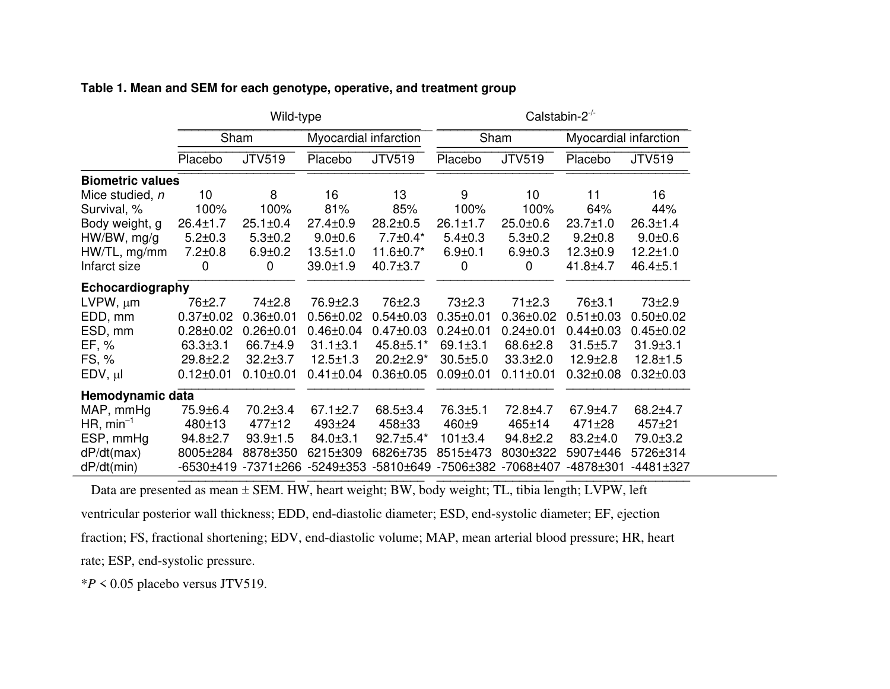|                         | Wild-type       |                 |                       |                 | Calstabin- $2^{-/-}$ |                 |                       |                 |
|-------------------------|-----------------|-----------------|-----------------------|-----------------|----------------------|-----------------|-----------------------|-----------------|
|                         | Sham            |                 | Myocardial infarction |                 | Sham                 |                 | Myocardial infarction |                 |
|                         | Placebo         | <b>JTV519</b>   | Placebo               | <b>JTV519</b>   | Placebo              | <b>JTV519</b>   | Placebo               | <b>JTV519</b>   |
| <b>Biometric values</b> |                 |                 |                       |                 |                      |                 |                       |                 |
| Mice studied, n         | 10              | 8               | 16                    | 13              | 9                    | 10              | 11                    | 16              |
| Survival, %             | 100%            | 100%            | 81%                   | 85%             | 100%                 | 100%            | 64%                   | 44%             |
| Body weight, g          | $26.4 \pm 1.7$  | $25.1 \pm 0.4$  | $27.4 \pm 0.9$        | $28.2 \pm 0.5$  | $26.1 \pm 1.7$       | $25.0 + 0.6$    | $23.7 \pm 1.0$        | $26.3 \pm 1.4$  |
| $HW/BW$ , mg/g          | $5.2 \pm 0.3$   | $5.3 + 0.2$     | $9.0 + 0.6$           | $7.7 \pm 0.4*$  | $5.4 \pm 0.3$        | $5.3 \pm 0.2$   | $9.2 \pm 0.8$         | $9.0 + 0.6$     |
| $HW/TL$ , mg/mm         | $7.2 \pm 0.8$   | $6.9 \pm 0.2$   | $13.5 \pm 1.0$        | 11.6±0.7*       | $6.9 + 0.1$          | $6.9 + 0.3$     | $12.3 \pm 0.9$        | $12.2 \pm 1.0$  |
| Infarct size            | $\mathbf 0$     | 0               | $39.0 \pm 1.9$        | $40.7 \pm 3.7$  | $\mathbf 0$          | 0               | $41.8 + 4.7$          | $46.4 \pm 5.1$  |
| Echocardiography        |                 |                 |                       |                 |                      |                 |                       |                 |
| $LVPW, \mu m$           | 76±2.7          | $74 + 2.8$      | 76.9 <sup>+2.3</sup>  | 76±2.3          | $73+2.3$             | 71±2.3          | 76±3.1                | 73±2.9          |
| EDD, mm                 | $0.37 \pm 0.02$ | $0.36 \pm 0.01$ | $0.56 \pm 0.02$       | $0.54 \pm 0.03$ | $0.35 \pm 0.01$      | $0.36 \pm 0.02$ | $0.51 \pm 0.03$       | $0.50 \pm 0.02$ |
| ESD, mm                 | $0.28 \pm 0.02$ | $0.26 \pm 0.01$ | $0.46 \pm 0.04$       | $0.47 \pm 0.03$ | $0.24 \pm 0.01$      | $0.24 \pm 0.01$ | $0.44 \pm 0.03$       | $0.45 \pm 0.02$ |
| EF, %                   | $63.3 \pm 3.1$  | 66.7±4.9        | $31.1 \pm 3.1$        | 45.8±5.1*       | $69.1 \pm 3.1$       | 68.6±2.8        | $31.5 \pm 5.7$        | $31.9 \pm 3.1$  |
| FS, %                   | $29.8 \pm 2.2$  | $32.2 \pm 3.7$  | $12.5 \pm 1.3$        | 20.2±2.9*       | $30.5 \pm 5.0$       | $33.3 \pm 2.0$  | $12.9 \pm 2.8$        | $12.8 + 1.5$    |
| $EDV, \mu I$            | $0.12 \pm 0.01$ | $0.10 \pm 0.01$ | $0.41 \pm 0.04$       | $0.36 \pm 0.05$ | $0.09 \pm 0.01$      | $0.11 \pm 0.01$ | $0.32 \pm 0.08$       | $0.32 \pm 0.03$ |
| Hemodynamic data        |                 |                 |                       |                 |                      |                 |                       |                 |
| MAP, mmHg               | 75.9±6.4        | $70.2 \pm 3.4$  | $67.1 \pm 2.7$        | $68.5 \pm 3.4$  | $76.3 + 5.1$         | 72.8±4.7        | 67.9±4.7              | $68.2 + 4.7$    |
| $HR, min^{-1}$          | 480±13          | $477 + 12$      | $493 + 24$            | 458±33          | 460 <sup>+9</sup>    | 465±14          | 471±28                | 457±21          |
| ESP, mmHg               | $94.8 \pm 2.7$  | $93.9 \pm 1.5$  | 84.0±3.1              | 92.7±5.4*       | 101±3.4              | $94.8 \pm 2.2$  | $83.2 + 4.0$          | 79.0±3.2        |
| dP/dt(max)              | 8005±284        | 8878±350        | 6215±309              | 6826±735        | 8515±473             | 8030±322        | 5907±446              | 5726±314        |
| dP/dt(min)              | $-6530±419$     | $-7371\pm266$   | $-5249\pm353$         | $-5810±649$     | $-7506 \pm 382$      | $-7068 + 407$   | $-4878 + 301$         | $-4481 \pm 327$ |
|                         |                 |                 |                       |                 |                      |                 |                       |                 |

## **Table 1. Mean and SEM for each genotype, operative, and treatment group**

Data are presented as mean ± SEM. HW, heart weight; BW, body weight; TL, tibia length; LVPW, left ventricular posterior wall thickness; EDD, end-diastolic diameter; ESD, end-systolic diameter; EF, ejection fraction; FS, fractional shortening; EDV, end-diastolic volume; MAP, mean arterial blood pressure; HR, heart rate; ESP, end-systolic pressure.

\**P* < 0.05 placebo versus JTV519.